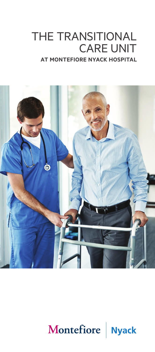# THE TRANSITIONAL CARE UNIT **AT MONTEFIORE NYACK HOSPITAL**



# Montefiore | Nyack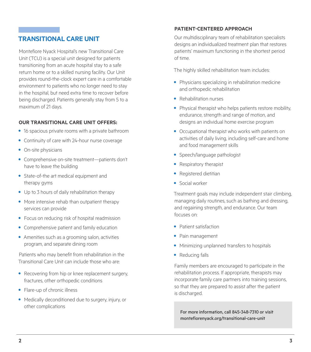## **TRANSITIONAL CARE UNIT**

Montefiore Nyack Hospital's new Transitional Care Unit (TCU) is a special unit designed for patients transitioning from an acute hospital stay to a safe return home or to a skilled nursing facility. Our Unit provides round-the-clock expert care in a comfortable environment to patients who no longer need to stay in the hospital, but need extra time to recover before being discharged. Patients generally stay from 5 to a maximum of 21 days.

#### **OUR TRANSITIONAL CARE UNIT OFFERS:**

- **•** 16 spacious private rooms with a private bathroom
- **•** Continuity of care with 24-hour nurse coverage
- **•** On-site physicians
- **•** Comprehensive on-site treatment—patients don't have to leave the building
- **•** State-of-the art medical equipment and therapy gyms
- **•** Up to 3 hours of daily rehabilitation therapy
- **•** More intensive rehab than outpatient therapy services can provide
- **•** Focus on reducing risk of hospital readmission
- **•** Comprehensive patient and family education
- **•** Amenities such as a grooming salon, activities program, and separate dining room

Patients who may benefit from rehabilitation in the Transitional Care Unit can include those who are:

- **•** Recovering from hip or knee replacement surgery, fractures, other orthopedic conditions
- **•** Flare-up of chronic illness
- **•** Medically deconditioned due to surgery, injury, or other complications

### **PATIENT-CENTERED APPROACH**

Our multidisciplinary team of rehabilitation specialists designs an individualized treatment plan that restores patients' maximum functioning in the shortest period of time.

The highly skilled rehabilitation team includes:

- **•** Physicians specializing in rehabilitation medicine and orthopedic rehabilitation
- **•** Rehabilitation nurses
- **•** Physical therapist who helps patients restore mobility, endurance, strength and range of motion, and designs an individual home exercise program
- **•** Occupational therapist who works with patients on activities of daily living, including self-care and home and food management skills
- **•** Speech/language pathologist
- **•** Respiratory therapist
- **•** Registered dietitian
- **•** Social worker

Treatment goals may include independent stair climbing, managing daily routines, such as bathing and dressing, and regaining strength, and endurance. Our team focuses on:

- **•** Patient satisfaction
- **•** Pain management
- **•** Minimizing unplanned transfers to hospitals
- **•** Reducing falls

Family members are encouraged to participate in the rehabilitation process. If appropriate, therapists may incorporate family care partners into training sessions, so that they are prepared to assist after the patient is discharged.

For more information, call 845-348-7310 or visit montefiorenyack.org/transitional-care-unit